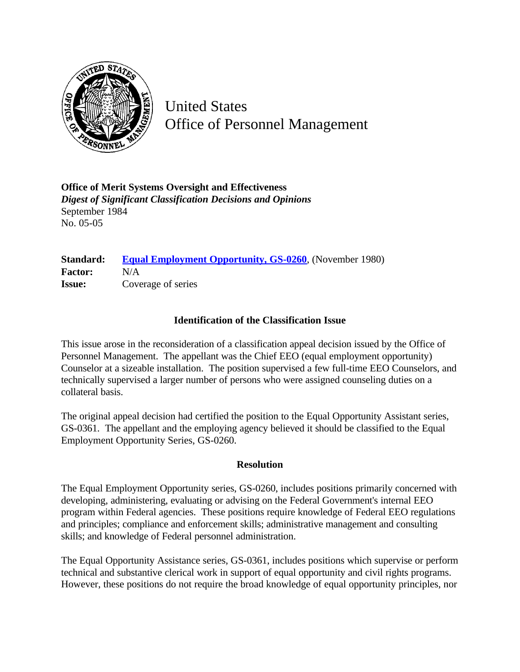

United States Office of Personnel Management

**Office of Merit Systems Oversight and Effectiveness** *Digest of Significant Classification Decisions and Opinions* September 1984 No. 05-05

## **Standard: [Equal Employment Opportunity, GS-0260](http://www.opm.gov/hr/fedclass/gs0260.pdf)**, (November 1980) **Factor:** N/A **Issue:** Coverage of series

## **Identification of the Classification Issue**

This issue arose in the reconsideration of a classification appeal decision issued by the Office of Personnel Management. The appellant was the Chief EEO (equal employment opportunity) Counselor at a sizeable installation. The position supervised a few full-time EEO Counselors, and technically supervised a larger number of persons who were assigned counseling duties on a collateral basis.

The original appeal decision had certified the position to the Equal Opportunity Assistant series, GS-0361. The appellant and the employing agency believed it should be classified to the Equal Employment Opportunity Series, GS-0260.

## **Resolution**

The Equal Employment Opportunity series, GS-0260, includes positions primarily concerned with developing, administering, evaluating or advising on the Federal Government's internal EEO program within Federal agencies. These positions require knowledge of Federal EEO regulations and principles; compliance and enforcement skills; administrative management and consulting skills; and knowledge of Federal personnel administration.

The Equal Opportunity Assistance series, GS-0361, includes positions which supervise or perform technical and substantive clerical work in support of equal opportunity and civil rights programs. However, these positions do not require the broad knowledge of equal opportunity principles, nor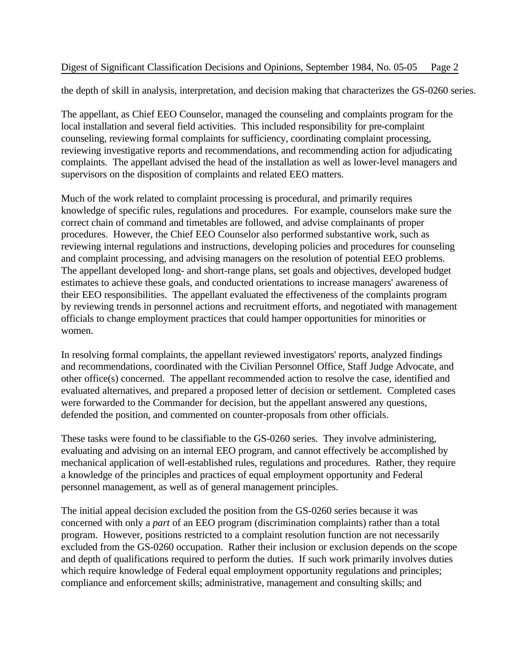## Digest of Significant Classification Decisions and Opinions, September 1984, No. 05-05 Page 2

the depth of skill in analysis, interpretation, and decision making that characterizes the GS-0260 series.

The appellant, as Chief EEO Counselor, managed the counseling and complaints program for the local installation and several field activities. This included responsibility for pre-complaint counseling, reviewing formal complaints for sufficiency, coordinating complaint processing, reviewing investigative reports and recommendations, and recommending action for adjudicating complaints. The appellant advised the head of the installation as well as lower-level managers and supervisors on the disposition of complaints and related EEO matters.

Much of the work related to complaint processing is procedural, and primarily requires knowledge of specific rules, regulations and procedures. For example, counselors make sure the correct chain of command and timetables are followed, and advise complainants of proper procedures. However, the Chief EEO Counselor also performed substantive work, such as reviewing internal regulations and instructions, developing policies and procedures for counseling and complaint processing, and advising managers on the resolution of potential EEO problems. The appellant developed long- and short-range plans, set goals and objectives, developed budget estimates to achieve these goals, and conducted orientations to increase managers' awareness of their EEO responsibilities. The appellant evaluated the effectiveness of the complaints program by reviewing trends in personnel actions and recruitment efforts, and negotiated with management officials to change employment practices that could hamper opportunities for minorities or women.

In resolving formal complaints, the appellant reviewed investigators' reports, analyzed findings and recommendations, coordinated with the Civilian Personnel Office, Staff Judge Advocate, and other office(s) concerned. The appellant recommended action to resolve the case, identified and evaluated alternatives, and prepared a proposed letter of decision or settlement. Completed cases were forwarded to the Commander for decision, but the appellant answered any questions, defended the position, and commented on counter-proposals from other officials.

These tasks were found to be classifiable to the GS-0260 series. They involve administering, evaluating and advising on an internal EEO program, and cannot effectively be accomplished by mechanical application of well-established rules, regulations and procedures. Rather, they require a knowledge of the principles and practices of equal employment opportunity and Federal personnel management, as well as of general management principles.

The initial appeal decision excluded the position from the GS-0260 series because it was concerned with only a *part* of an EEO program (discrimination complaints) rather than a total program. However, positions restricted to a complaint resolution function are not necessarily excluded from the GS-0260 occupation. Rather their inclusion or exclusion depends on the scope and depth of qualifications required to perform the duties. If such work primarily involves duties which require knowledge of Federal equal employment opportunity regulations and principles; compliance and enforcement skills; administrative, management and consulting skills; and